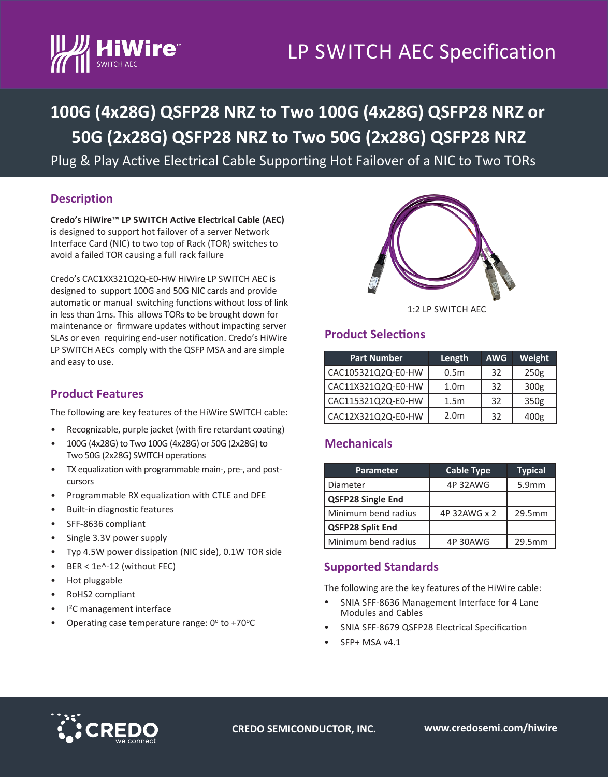# LP SWITCH AEC Specification



# **100G (4x28G) QSFP28 NRZ to Two 100G (4x28G) QSFP28 NRZ or 50G (2x28G) QSFP28 NRZ to Two 50G (2x28G) QSFP28 NRZ**

Plug & Play Active Electrical Cable Supporting Hot Failover of a NIC to Two TORs

## **Description**

**Credo's HiWire™ LP SWITCH Active Electrical Cable (AEC)**  is designed to support hot failover of a server Network Interface Card (NIC) to two top of Rack (TOR) switches to avoid a failed TOR causing a full rack failure

Credo's CAC1XX321Q2Q-E0-HW HiWire LP SWITCH AEC is designed to support 100G and 50G NIC cards and provide automatic or manual switching functions without loss of link in less than 1ms. This allows TORs to be brought down for maintenance or firmware updates without impacting server SLAs or even requiring end-user notification. Credo's HiWire LP SWITCH AECs comply with the QSFP MSA and are simple and easy to use.

### **Product Features**

The following are key features of the HiWire SWITCH cable:

- Recognizable, purple jacket (with fire retardant coating)
- 100G (4x28G) to Two 100G (4x28G) or 50G (2x28G) to Two 50G (2x28G) SWITCH operations
- TX equalization with programmable main-, pre-, and postcursors
- Programmable RX equalization with CTLE and DFE
- Built-in diagnostic features
- SFF-8636 compliant
- Single 3.3V power supply
- Typ 4.5W power dissipation (NIC side), 0.1W TOR side
- BER < 1e^-12 (without FEC)
- Hot pluggable
- RoHS2 compliant
- I²C management interface
- Operating case temperature range:  $0^\circ$  to +70 $^\circ$ C



1:2 LP SWITCH AEC

### **Product Selections**

| <b>Part Number</b> | Length           | <b>AWG</b> | Weight           |
|--------------------|------------------|------------|------------------|
| CAC105321Q2Q-E0-HW | 0.5 <sub>m</sub> | 32         | 250 <sub>g</sub> |
| CAC11X321Q2Q-E0-HW | 1.0 <sub>m</sub> | 32         | 300 <sub>g</sub> |
| CAC115321Q2Q-E0-HW | 1.5 <sub>m</sub> | 32         | 350g             |
| CAC12X321Q2Q-E0-HW | 2.0 <sub>m</sub> | 32         | 400g             |

#### **Mechanicals**

| Parameter                | <b>Cable Type</b> | <b>Typical</b>    |
|--------------------------|-------------------|-------------------|
| Diameter                 | 4P 32AWG          | 5.9 <sub>mm</sub> |
| <b>QSFP28 Single End</b> |                   |                   |
| Minimum bend radius      | 4P 32AWG x 2      | 29.5mm            |
| <b>QSFP28 Split End</b>  |                   |                   |
| Minimum bend radius      | 4P 30AWG          | 29.5mm            |

#### **Supported Standards**

The following are the key features of the HiWire cable:

- SNIA SFF-8636 Management Interface for 4 Lane Modules and Cables
- SNIA SFF-8679 QSFP28 Electrical Specification
- SFP+ MSA v4.1